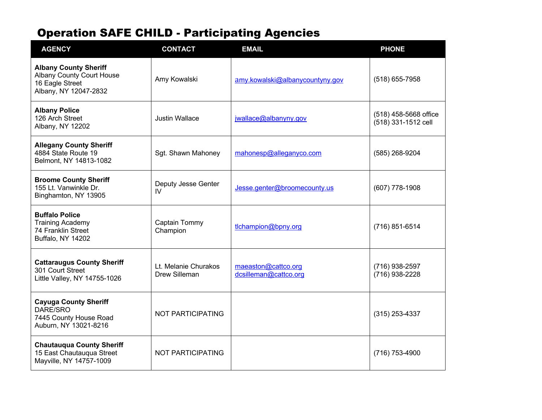| <b>AGENCY</b>                                                                                                | <b>CONTACT</b>                        | <b>EMAIL</b>                                 | <b>PHONE</b>                                 |
|--------------------------------------------------------------------------------------------------------------|---------------------------------------|----------------------------------------------|----------------------------------------------|
| <b>Albany County Sheriff</b><br><b>Albany County Court House</b><br>16 Eagle Street<br>Albany, NY 12047-2832 | Amy Kowalski                          | amy.kowalski@albanycountyny.gov              | $(518)$ 655-7958                             |
| <b>Albany Police</b><br>126 Arch Street<br>Albany, NY 12202                                                  | <b>Justin Wallace</b>                 | jwallace@albanyny.gov                        | (518) 458-5668 office<br>(518) 331-1512 cell |
| <b>Allegany County Sheriff</b><br>4884 State Route 19<br>Belmont, NY 14813-1082                              | Sgt. Shawn Mahoney                    | mahonesp@alleganyco.com                      | (585) 268-9204                               |
| <b>Broome County Sheriff</b><br>155 Lt. Vanwinkle Dr.<br>Binghamton, NY 13905                                | Deputy Jesse Genter<br>IV             | Jesse.genter@broomecounty.us                 | $(607)$ 778-1908                             |
| <b>Buffalo Police</b><br><b>Training Academy</b><br>74 Franklin Street<br>Buffalo, NY 14202                  | Captain Tommy<br>Champion             | tlchampion@bpny.org                          | $(716)$ 851-6514                             |
| <b>Cattaraugus County Sheriff</b><br>301 Court Street<br>Little Valley, NY 14755-1026                        | Lt. Melanie Churakos<br>Drew Silleman | maeaston@cattco.org<br>dcsilleman@cattco.org | (716) 938-2597<br>(716) 938-2228             |
| <b>Cayuga County Sheriff</b><br>DARE/SRO<br>7445 County House Road<br>Auburn, NY 13021-8216                  | NOT PARTICIPATING                     |                                              | $(315)$ 253-4337                             |
| <b>Chautauqua County Sheriff</b><br>15 East Chautauqua Street<br>Mayville, NY 14757-1009                     | NOT PARTICIPATING                     |                                              | (716) 753-4900                               |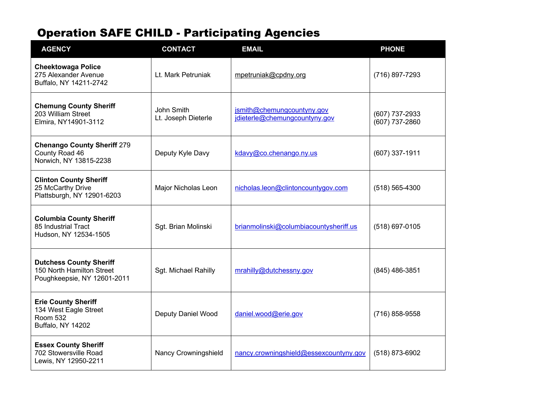| <b>AGENCY</b>                                                                               | <b>CONTACT</b>                    | <b>EMAIL</b>                                                | <b>PHONE</b>                       |
|---------------------------------------------------------------------------------------------|-----------------------------------|-------------------------------------------------------------|------------------------------------|
| <b>Cheektowaga Police</b><br>275 Alexander Avenue<br>Buffalo, NY 14211-2742                 | Lt. Mark Petruniak                | mpetruniak@cpdny.org                                        | (716) 897-7293                     |
| <b>Chemung County Sheriff</b><br>203 William Street<br>Elmira, NY14901-3112                 | John Smith<br>Lt. Joseph Dieterle | jsmith@chemungcountyny.gov<br>jdieterle@chemungcountyny.gov | (607) 737-2933<br>$(607)$ 737-2860 |
| <b>Chenango County Sheriff 279</b><br>County Road 46<br>Norwich, NY 13815-2238              | Deputy Kyle Davy                  | kdavy@co.chenango.ny.us                                     | $(607)$ 337-1911                   |
| <b>Clinton County Sheriff</b><br>25 McCarthy Drive<br>Plattsburgh, NY 12901-6203            | Major Nicholas Leon               | nicholas.leon@clintoncountygov.com                          | $(518) 565 - 4300$                 |
| <b>Columbia County Sheriff</b><br>85 Industrial Tract<br>Hudson, NY 12534-1505              | Sgt. Brian Molinski               | brianmolinski@columbiacountysheriff.us                      | (518) 697-0105                     |
| <b>Dutchess County Sheriff</b><br>150 North Hamilton Street<br>Poughkeepsie, NY 12601-2011  | Sgt. Michael Rahilly              | mrahilly@dutchessny.gov                                     | (845) 486-3851                     |
| <b>Erie County Sheriff</b><br>134 West Eagle Street<br><b>Room 532</b><br>Buffalo, NY 14202 | Deputy Daniel Wood                | daniel.wood@erie.gov                                        | (716) 858-9558                     |
| <b>Essex County Sheriff</b><br>702 Stowersville Road<br>Lewis, NY 12950-2211                | Nancy Crowningshield              | nancy.crowningshield@essexcountyny.gov                      | (518) 873-6902                     |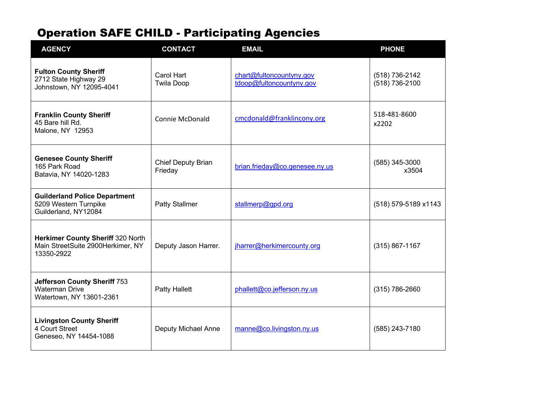| <b>AGENCY</b>                                                                            | <b>CONTACT</b>                  | <b>EMAIL</b>                                         | <b>PHONE</b>                     |
|------------------------------------------------------------------------------------------|---------------------------------|------------------------------------------------------|----------------------------------|
| <b>Fulton County Sheriff</b><br>2712 State Highway 29<br>Johnstown, NY 12095-4041        | Carol Hart<br><b>Twila Doop</b> | chart@fultoncountyny.gov<br>tdoop@fultoncountyny.gov | (518) 736-2142<br>(518) 736-2100 |
| <b>Franklin County Sheriff</b><br>45 Bare hill Rd.<br>Malone, NY 12953                   | <b>Connie McDonald</b>          | cmcdonald@franklincony.org                           | 518-481-8600<br>x2202            |
| <b>Genesee County Sheriff</b><br>165 Park Road<br>Batavia, NY 14020-1283                 | Chief Deputy Brian<br>Frieday   | brian.frieday@co.genesee.ny.us                       | (585) 345-3000<br>x3504          |
| <b>Guilderland Police Department</b><br>5209 Western Turnpike<br>Guilderland, NY12084    | <b>Patty Stallmer</b>           | stallmerp@gpd.org                                    | (518) 579-5189 x1143             |
| Herkimer County Sheriff 320 North<br>Main StreetSuite 2900Herkimer, NY<br>13350-2922     | Deputy Jason Harrer.            | jharrer@herkimercounty.org                           | $(315) 867 - 1167$               |
| <b>Jefferson County Sheriff 753</b><br><b>Waterman Drive</b><br>Watertown, NY 13601-2361 | <b>Patty Hallett</b>            | phallett@co.jefferson.ny.us                          | $(315) 786 - 2660$               |
| <b>Livingston County Sheriff</b><br>4 Court Street<br>Geneseo, NY 14454-1088             | Deputy Michael Anne             | manne@co.livingston.ny.us                            | (585) 243-7180                   |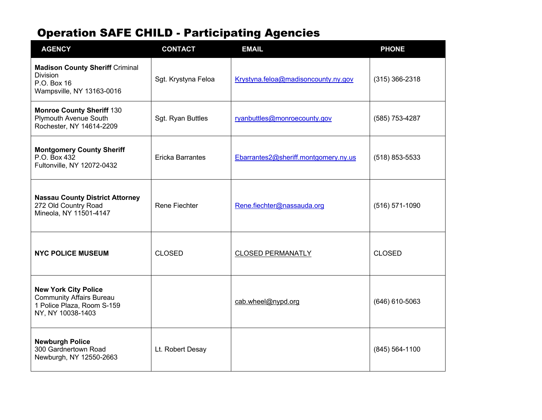| <b>AGENCY</b>                                                                                                     | <b>CONTACT</b>          | <b>EMAIL</b>                         | <b>PHONE</b>     |
|-------------------------------------------------------------------------------------------------------------------|-------------------------|--------------------------------------|------------------|
| <b>Madison County Sheriff Criminal</b><br><b>Division</b><br>P.O. Box 16<br>Wampsville, NY 13163-0016             | Sgt. Krystyna Feloa     | Krystyna.feloa@madisoncounty.ny.gov  | $(315)$ 366-2318 |
| <b>Monroe County Sheriff 130</b><br>Plymouth Avenue South<br>Rochester, NY 14614-2209                             | Sgt. Ryan Buttles       | ryanbuttles@monroecounty.gov         | (585) 753-4287   |
| <b>Montgomery County Sheriff</b><br>P.O. Box 432<br>Fultonville, NY 12072-0432                                    | <b>Ericka Barrantes</b> | Ebarrantes2@sheriff.montgomery.ny.us | (518) 853-5533   |
| <b>Nassau County District Attorney</b><br>272 Old Country Road<br>Mineola, NY 11501-4147                          | Rene Fiechter           | Rene.fiechter@nassauda.org           | $(516) 571-1090$ |
| <b>NYC POLICE MUSEUM</b>                                                                                          | <b>CLOSED</b>           | <b>CLOSED PERMANATLY</b>             | <b>CLOSED</b>    |
| <b>New York City Police</b><br><b>Community Affairs Bureau</b><br>1 Police Plaza, Room S-159<br>NY, NY 10038-1403 |                         | cab.wheel@nypd.org                   | (646) 610-5063   |
| <b>Newburgh Police</b><br>300 Gardnertown Road<br>Newburgh, NY 12550-2663                                         | Lt. Robert Desay        |                                      | (845) 564-1100   |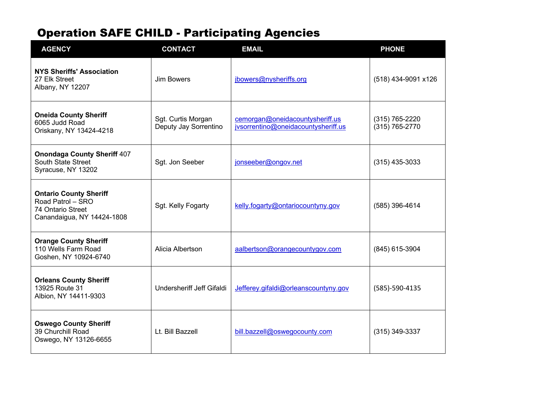| <b>AGENCY</b>                                                                                         | <b>CONTACT</b>                              | <b>EMAIL</b>                                                           | <b>PHONE</b>                     |
|-------------------------------------------------------------------------------------------------------|---------------------------------------------|------------------------------------------------------------------------|----------------------------------|
| <b>NYS Sheriffs' Association</b><br>27 Elk Street<br>Albany, NY 12207                                 | Jim Bowers                                  | jbowers@nysheriffs.org                                                 | (518) 434-9091 x126              |
| <b>Oneida County Sheriff</b><br>6065 Judd Road<br>Oriskany, NY 13424-4218                             | Sgt. Curtis Morgan<br>Deputy Jay Sorrentino | cemorgan@oneidacountysheriff.us<br>jvsorrentino@oneidacountysheriff.us | (315) 765-2220<br>(315) 765-2770 |
| <b>Onondaga County Sheriff 407</b><br>South State Street<br>Syracuse, NY 13202                        | Sgt. Jon Seeber                             | jonseeber@ongov.net                                                    | $(315)$ 435-3033                 |
| <b>Ontario County Sheriff</b><br>Road Patrol - SRO<br>74 Ontario Street<br>Canandaigua, NY 14424-1808 | Sgt. Kelly Fogarty                          | kelly.fogarty@ontariocountyny.gov                                      | (585) 396-4614                   |
| <b>Orange County Sheriff</b><br>110 Wells Farm Road<br>Goshen, NY 10924-6740                          | Alicia Albertson                            | aalbertson@orangecountygov.com                                         | (845) 615-3904                   |
| <b>Orleans County Sheriff</b><br>13925 Route 31<br>Albion, NY 14411-9303                              | Undersheriff Jeff Gifaldi                   | Jefferey.gifaldi@orleanscountyny.gov                                   | (585)-590-4135                   |
| <b>Oswego County Sheriff</b><br>39 Churchill Road<br>Oswego, NY 13126-6655                            | Lt. Bill Bazzell                            | bill.bazzell@oswegocounty.com                                          | $(315)$ 349-3337                 |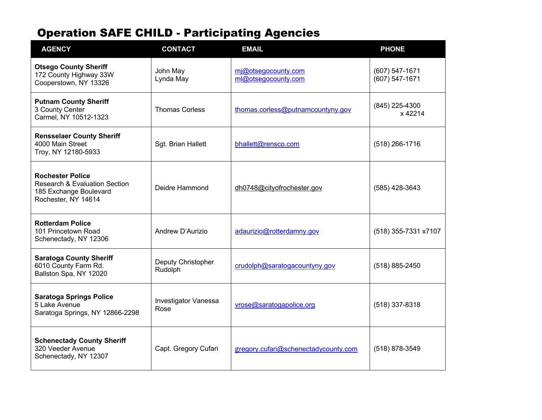| <b>AGENCY</b>                                                                                                        | <b>CONTACT</b>                | <b>EMAIL</b>                               | <b>PHONE</b>                     |
|----------------------------------------------------------------------------------------------------------------------|-------------------------------|--------------------------------------------|----------------------------------|
| <b>Otsego County Sheriff</b><br>172 County Highway 33W<br>Cooperstown, NY 13326                                      | John May<br>Lynda May         | mj@otsegocounty.com<br>ml@otsegocounty.com | (607) 547-1671<br>(607) 547-1671 |
| <b>Putnam County Sheriff</b><br>3 County Center<br>Carmel, NY 10512-1323                                             | <b>Thomas Corless</b>         | thomas.corless@putnamcountyny.gov          | (845) 225-4300<br>x 42214        |
| <b>Rensselaer County Sheriff</b><br>4000 Main Street<br>Troy, NY 12180-5933                                          | Sgt. Brian Hallett            | bhallett@rensco.com                        | $(518)$ 266-1716                 |
| <b>Rochester Police</b><br><b>Research &amp; Evaluation Section</b><br>185 Exchange Boulevard<br>Rochester, NY 14614 | Deidre Hammond                | dh0748@cityofrochester.gov                 | (585) 428-3643                   |
| <b>Rotterdam Police</b><br>101 Princetown Road<br>Schenectady, NY 12306                                              | Andrew D'Aurizio              | adaurizio@rotterdamny.gov                  | (518) 355-7331 x7107             |
| <b>Saratoga County Sheriff</b><br>6010 County Farm Rd.<br>Ballston Spa, NY 12020                                     | Deputy Christopher<br>Rudolph | crudolph@saratogacountyny.gov              | (518) 885-2450                   |
| <b>Saratoga Springs Police</b><br>5 Lake Avenue<br>Saratoga Springs, NY 12866-2298                                   | Investigator Vanessa<br>Rose  | vrose@saratogapolice.org                   | $(518)$ 337-8318                 |
| <b>Schenectady County Sheriff</b><br>320 Veeder Avenue<br>Schenectady, NY 12307                                      | Capt. Gregory Cufari          | gregory.cufari@schenectadycounty.com       | (518) 878-3549                   |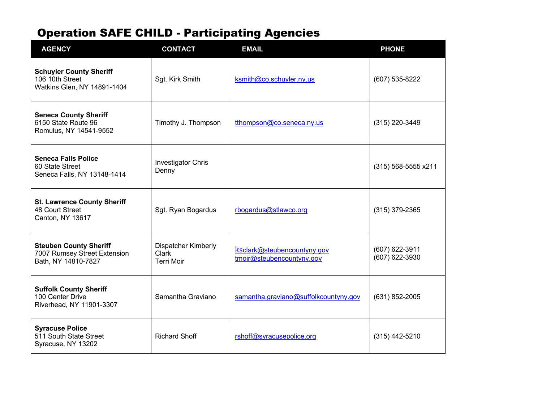| <b>AGENCY</b>                                                                        | <b>CONTACT</b>                                           | <b>EMAIL</b>                                             | <b>PHONE</b>                     |
|--------------------------------------------------------------------------------------|----------------------------------------------------------|----------------------------------------------------------|----------------------------------|
| <b>Schuyler County Sheriff</b><br>106 10th Street<br>Watkins Glen, NY 14891-1404     | Sgt. Kirk Smith                                          | ksmith@co.schuyler.ny.us                                 | (607) 535-8222                   |
| <b>Seneca County Sheriff</b><br>6150 State Route 96<br>Romulus, NY 14541-9552        | Timothy J. Thompson                                      | tthompson@co.seneca.ny.us                                | (315) 220-3449                   |
| <b>Seneca Falls Police</b><br>60 State Street<br>Seneca Falls, NY 13148-1414         | <b>Investigator Chris</b><br>Denny                       |                                                          | (315) 568-5555 x211              |
| <b>St. Lawrence County Sheriff</b><br>48 Court Street<br>Canton, NY 13617            | Sgt. Ryan Bogardus                                       | rbogardus@stlawco.org                                    | $(315)$ 379-2365                 |
| <b>Steuben County Sheriff</b><br>7007 Rumsey Street Extension<br>Bath, NY 14810-7827 | <b>Dispatcher Kimberly</b><br>Clark<br><b>Terri Moir</b> | ksclark@steubencountyny.gov<br>tmoir@steubencountyny.gov | (607) 622-3911<br>(607) 622-3930 |
| <b>Suffolk County Sheriff</b><br>100 Center Drive<br>Riverhead, NY 11901-3307        | Samantha Graviano                                        | samantha.graviano@suffolkcountyny.gov                    | (631) 852-2005                   |
| <b>Syracuse Police</b><br>511 South State Street<br>Syracuse, NY 13202               | <b>Richard Shoff</b>                                     | rshoff@syracusepolice.org                                | (315) 442-5210                   |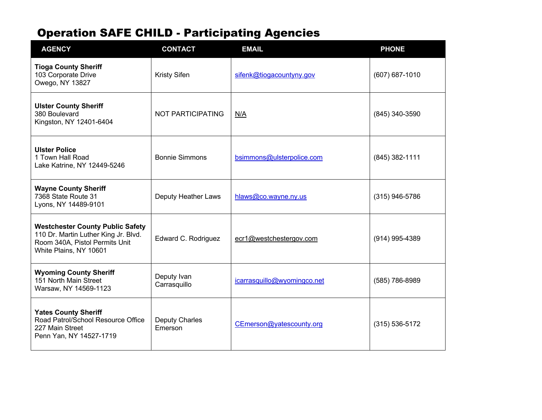| <b>AGENCY</b>                                                                                                                               | <b>CONTACT</b>              | <b>EMAIL</b>                | <b>PHONE</b>       |
|---------------------------------------------------------------------------------------------------------------------------------------------|-----------------------------|-----------------------------|--------------------|
| <b>Tioga County Sheriff</b><br>103 Corporate Drive<br>Owego, NY 13827                                                                       | <b>Kristy Sifen</b>         | sifenk@tiogacountyny.gov    | $(607) 687 - 1010$ |
| <b>Ulster County Sheriff</b><br>380 Boulevard<br>Kingston, NY 12401-6404                                                                    | NOT PARTICIPATING           | N/A                         | (845) 340-3590     |
| <b>Ulster Police</b><br>1 Town Hall Road<br>Lake Katrine, NY 12449-5246                                                                     | <b>Bonnie Simmons</b>       | bsimmons@ulsterpolice.com   | (845) 382-1111     |
| <b>Wayne County Sheriff</b><br>7368 State Route 31<br>Lyons, NY 14489-9101                                                                  | Deputy Heather Laws         | hlaws@co.wayne.ny.us        | $(315)$ 946-5786   |
| <b>Westchester County Public Safety</b><br>110 Dr. Martin Luther King Jr. Blvd.<br>Room 340A, Pistol Permits Unit<br>White Plains, NY 10601 | Edward C. Rodriguez         | ecr1@westchestergov.com     | (914) 995-4389     |
| <b>Wyoming County Sheriff</b><br>151 North Main Street<br>Warsaw, NY 14569-1123                                                             | Deputy Ivan<br>Carrasquillo | icarrasquillo@wyomingco.net | (585) 786-8989     |
| <b>Yates County Sheriff</b><br>Road Patrol/School Resource Office<br>227 Main Street<br>Penn Yan, NY 14527-1719                             | Deputy Charles<br>Emerson   | CEmerson@yatescounty.org    | $(315) 536 - 5172$ |